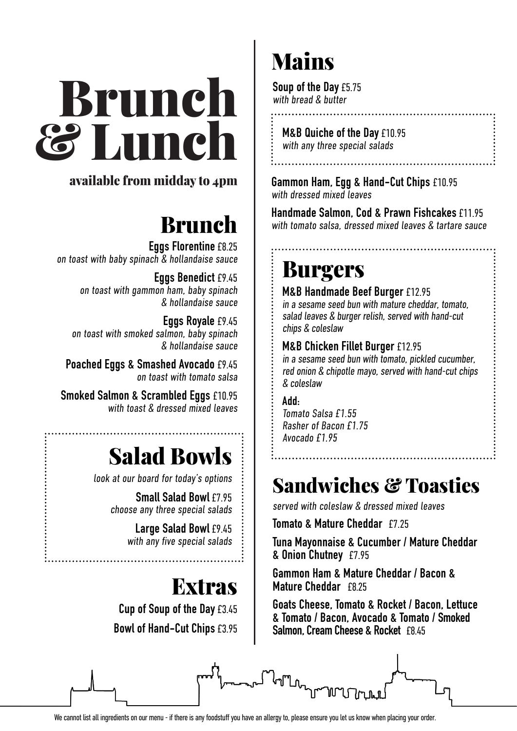# Brunch & Lunch Menu

## available from midday to 4pm *Spanish, North African &*

### **Brunch** *Middle Eastern inspired*

**Eggs Florentine** £8.25 on toast with baby spinach & hollandaise sauce<br>Fons Bonadict £9.15

**Eggs Benedict** £9.45 on toast with gammon ham, baby spinach  $\&$  hollandaise sauce

**Eggs Royale** £9.45 **Eyys Ruyale** 17.45<br>on toast with smoked salmon, baby spinach  $\&$  hollandaise sauce

**Poached Eggs & Smashed Avocado** £9.45 **Roasted Catalan Almonds** £3.45 on toast with tomato salsa

**Smoked Salmon & Scrambled Eggs £10.95** with toast & dressed mixed leaves

### **Salad Bowls Plate of Marinated Anchovies** £3.95

look at our board for today's options

**Sourd Tell Calad Bowl £7.95** choose any three special salads

**James & Anchor & Anchor & Anchor & Anchor & Anchor & Anchor & Anchor & Anchor & Anchor & Anchor & An** 

**Large Salad Bowl** £9.45 with any five special salads

# **Extras**

**Cup of Soup of the Day** £3.45 **Bowl of Hand-Cut Chips** £3.95

# Mains

**Soup of the Day** £5.75 with bread & butter

with tomato & chilli jam

**M&B Quiche of the Day** £10.95 with any three special salads with mojo verde

Gammon Ham, Egg & Hand-Cut Chips £10.95 with dressed mixed leaves

Handmade Salmon, Cod & Prawn Fishcakes £11.95 with tomato salsa, dressed mixed leaves & tartare sauce in iomaio c<br>............

**Brindisa Chorizo, Roast Peppers & White Wine** £5.95

#### Burgers **Salt Cod Croquettas** £4.50 with alioli

**M&B Handmade Beef Burger** £12.95  $\overline{\mathbf{u}}$  in a sesame seed bun with mature cheddar, tomato, salad leaves & burger relish, served with hand-cut chips & coleslaw

**M&B Chicken Fillet Burger** £12.95

in a sesame seed bun with tomato, pickled cucumber, red onion & chipotle mayo, served with hand-cut chips & coleslaw

**Add:** Tomato Salsa £1.55 **Patatas Bravas** £4.95 Rasher of Bacon £1.75 Avocado £1.95 **Patatas Mojo** £4.95 & colesiaw<br>Add

. . . . . . . . . .

#### Sandwiches & Toasties **Sauteed Purple Sprouting Broccoli** £4.95 bahuwiches **o** l

served with coleslaw & dressed mixed leaves

**Tomato & Mature Cheddar** £7.25

**Tuna Mayonnaise & Cucumber / Mature Cheddar & Onion Chutney** £7.95 with fetal fetal and the children.<br>Mint of the children of the children

**Gammon Ham & Mature Cheddar / Bacon & Mature Cheddar** £8.25 **Chick Champy Care**<br>Chicago Butternut Chadder LD allilliul naill & Malure Gi<br>U

**Goats Cheese, Tomato & Rocket / Bacon, Lettuce & Tomato / Bacon, Avocado & Tomato / Smoked Salmon, Cream Cheese & Rocket** £8.45 **Teacher Cheese £5.45** wals grieese, formalo & kocke



ᡎ᠋ᡙ<sub>᠘</sub>